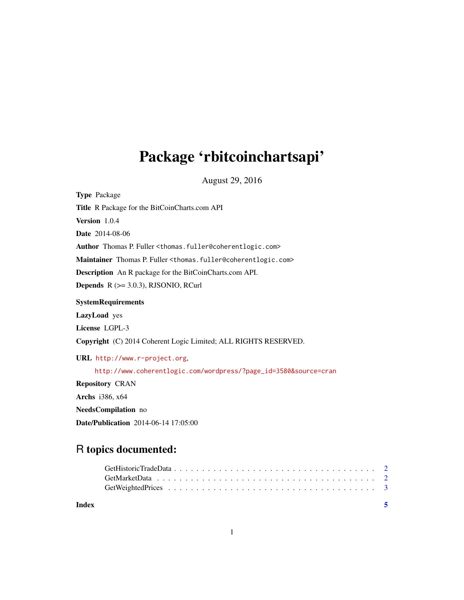# Package 'rbitcoinchartsapi'

August 29, 2016

| <b>Type Package</b>                                                                             |
|-------------------------------------------------------------------------------------------------|
| <b>Title</b> R Package for the BitCoinCharts.com API                                            |
| Version 1.0.4                                                                                   |
| <b>Date</b> 2014-08-06                                                                          |
| Author Thomas P. Fuller <thomas. fuller@coherentlogic.com=""></thomas.>                         |
| Maintainer Thomas P. Fuller <thomas.fuller@coherentlogic.com></thomas.fuller@coherentlogic.com> |
| <b>Description</b> An R package for the BitCoinCharts.com API.                                  |
| <b>Depends</b> $R$ ( $> = 3.0.3$ ), RJSONIO, RCurl                                              |
| <b>SystemRequirements</b>                                                                       |
| LazyLoad yes                                                                                    |
| License LGPL-3                                                                                  |
| Copyright (C) 2014 Coherent Logic Limited; ALL RIGHTS RESERVED.                                 |
| URL http://www.r-project.org,                                                                   |
| http://www.coherentlogic.com/wordpress/?page_id=3580&source=cran                                |
| <b>Repository CRAN</b>                                                                          |
| Archs $i386$ , $x64$                                                                            |
| NeedsCompilation no                                                                             |

Date/Publication 2014-06-14 17:05:00

# R topics documented:

| Index | - 5 |
|-------|-----|
|       |     |
|       |     |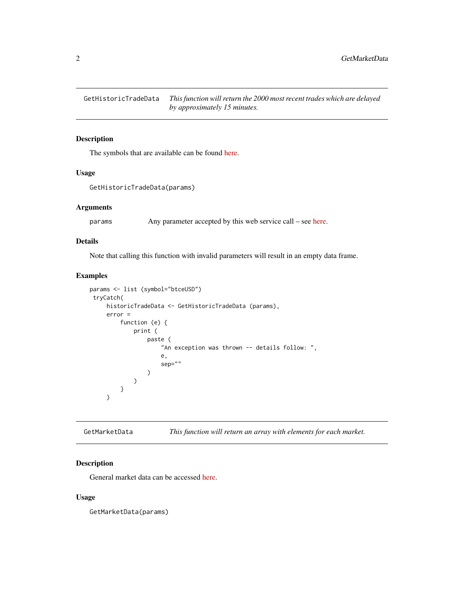<span id="page-1-0"></span>GetHistoricTradeData *This function will return the 2000 most recent trades which are delayed by approximately 15 minutes.*

# Description

The symbols that are available can be found [here.](http://bitcoincharts.com/markets/)

## Usage

```
GetHistoricTradeData(params)
```
### Arguments

params Any parameter accepted by this web service call – see [here.](http://bitcoincharts.com/about/markets-api/)

# Details

Note that calling this function with invalid parameters will result in an empty data frame.

# Examples

```
params <- list (symbol="btceUSD")
tryCatch(
    historicTradeData <- GetHistoricTradeData (params),
     error =
         function (e) {
             print (
                 paste (
                     "An exception was thrown -- details follow: ",
                     e,
                     sep=""
                 )
             )
         }
     )
```
GetMarketData *This function will return an array with elements for each market.*

# Description

General market data can be accessed [here.](http://api.bitcoincharts.com/v1/markets.json)

#### Usage

GetMarketData(params)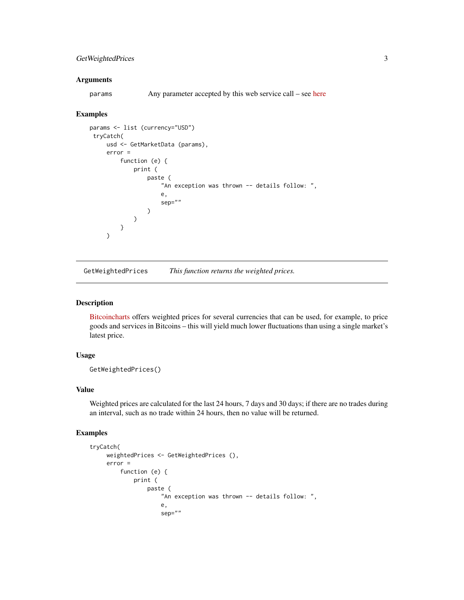# <span id="page-2-0"></span>GetWeightedPrices 3

#### Arguments

params Any parameter accepted by this web service call – see [here](http://bitcoincharts.com/about/markets-api/)

#### Examples

```
params <- list (currency="USD")
tryCatch(
     usd <- GetMarketData (params),
     error =
         function (e) {
              print (
                  paste (
                      "An exception was thrown -- details follow: ",
                      e,
                      sep=""
                  )
             )
         }
     \overline{)}
```
GetWeightedPrices *This function returns the weighted prices.*

### Description

[Bitcoincharts](http://www.bitcoincharts.com) offers weighted prices for several currencies that can be used, for example, to price goods and services in Bitcoins – this will yield much lower fluctuations than using a single market's latest price.

#### Usage

```
GetWeightedPrices()
```
## Value

Weighted prices are calculated for the last 24 hours, 7 days and 30 days; if there are no trades during an interval, such as no trade within 24 hours, then no value will be returned.

# Examples

```
tryCatch(
     weightedPrices <- GetWeightedPrices (),
     error =
         function (e) {
             print (
                 paste (
                     "An exception was thrown -- details follow: ",
                     e,
                     sep=""
```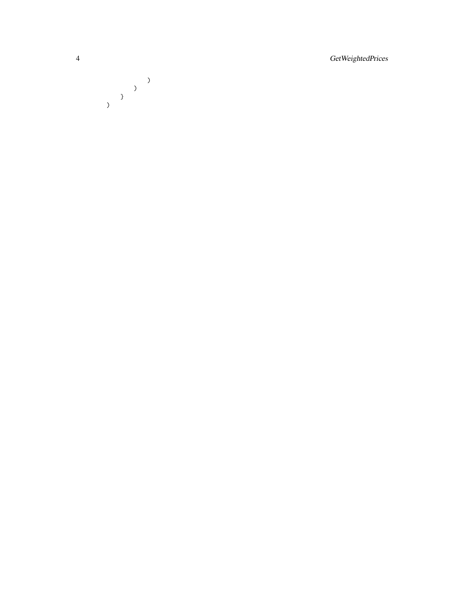GetWeightedPrices



 $\overline{4}$